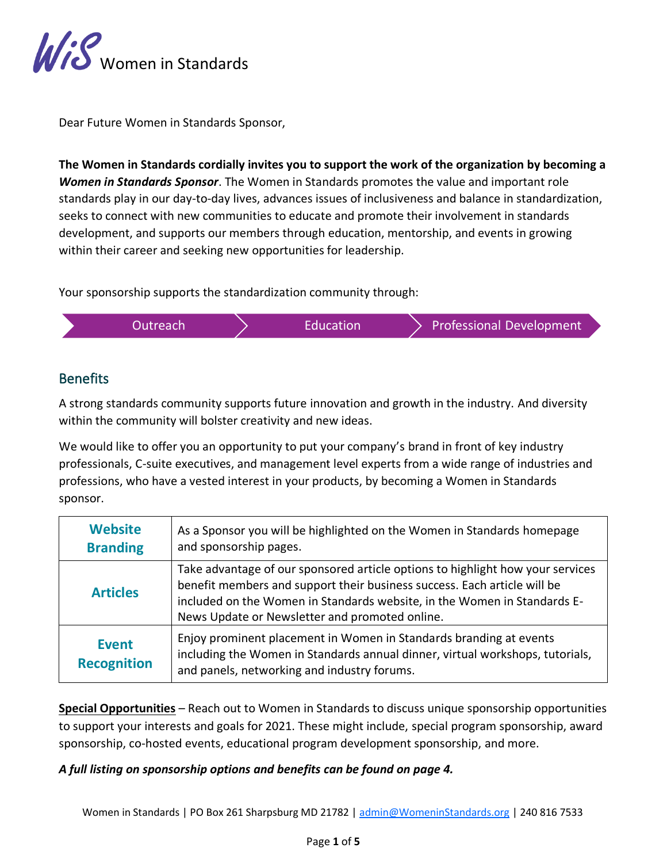

Dear Future Women in Standards Sponsor,

**The Women in Standards cordially invites you to support the work of the organization by becoming a** *Women in Standards Sponsor*. The Women in Standards promotes the value and important role standards play in our day-to-day lives, advances issues of inclusiveness and balance in standardization, seeks to connect with new communities to educate and promote their involvement in standards development, and supports our members through education, mentorship, and events in growing within their career and seeking new opportunities for leadership.

Your sponsorship supports the standardization community through:

| Outreach. | <b>Education</b> | Professional Development |
|-----------|------------------|--------------------------|
|-----------|------------------|--------------------------|

# **Benefits**

A strong standards community supports future innovation and growth in the industry. And diversity within the community will bolster creativity and new ideas.

We would like to offer you an opportunity to put your company's brand in front of key industry professionals, C-suite executives, and management level experts from a wide range of industries and professions, who have a vested interest in your products, by becoming a Women in Standards sponsor.

| <b>Website</b><br><b>Branding</b>  | As a Sponsor you will be highlighted on the Women in Standards homepage<br>and sponsorship pages.                                                                                                                                                                                        |
|------------------------------------|------------------------------------------------------------------------------------------------------------------------------------------------------------------------------------------------------------------------------------------------------------------------------------------|
| <b>Articles</b>                    | Take advantage of our sponsored article options to highlight how your services<br>benefit members and support their business success. Each article will be<br>included on the Women in Standards website, in the Women in Standards E-<br>News Update or Newsletter and promoted online. |
| <b>Event</b><br><b>Recognition</b> | Enjoy prominent placement in Women in Standards branding at events<br>including the Women in Standards annual dinner, virtual workshops, tutorials,<br>and panels, networking and industry forums.                                                                                       |

**Special Opportunities** – Reach out to Women in Standards to discuss unique sponsorship opportunities to support your interests and goals for 2021. These might include, special program sponsorship, award sponsorship, co-hosted events, educational program development sponsorship, and more.

### *A full listing on sponsorship options and benefits can be found on page 4.*

Women in Standards | PO Box 261 Sharpsburg MD 21782 | [admin@WomeninStandards.org](mailto:admin@WomeninStandards.org) | 240 816 7533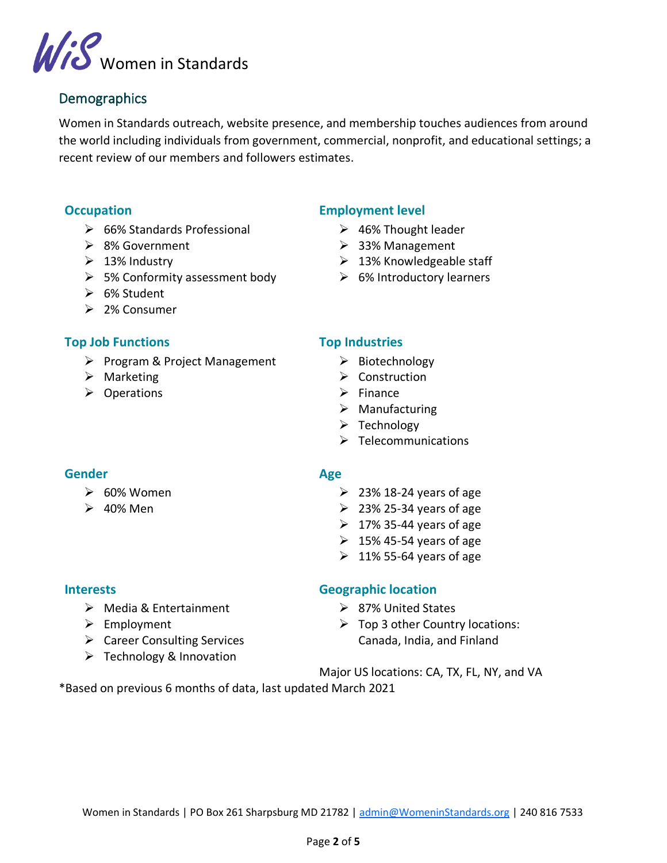

## **Demographics**

Women in Standards outreach, website presence, and membership touches audiences from around the world including individuals from government, commercial, nonprofit, and educational settings; a recent review of our members and followers estimates.

### **Occupation**

- ➢ 66% Standards Professional
- ➢ 8% Government
- $\geq 13\%$  Industry
- ➢ 5% Conformity assessment body
- ➢ 6% Student
- ➢ 2% Consumer

### **Top Job Functions**

- ➢ Program & Project Management
- ➢ Marketing
- ➢ Operations

### **Employment level**

- ➢ 46% Thought leader
- ➢ 33% Management
- $\geq$  13% Knowledgeable staff
- $\triangleright$  6% Introductory learners

#### **Top Industries**

- ➢ Biotechnology
- ➢ Construction
- $\triangleright$  Finance
- ➢ Manufacturing
- ➢ Technology
- ➢ Telecommunications

## **Gender**

- $\geqslant 60\%$  Women
- $\geq$  40% Men

#### **Age**

- $\geq$  23% 18-24 years of age
- $\geq$  23% 25-34 years of age
- $\geq 17\%$  35-44 years of age
- $\geq 15\%$  45-54 years of age
- $\geq 11\%$  55-64 years of age

#### **Interests**

- ➢ Media & Entertainment
- ➢ Employment
- ➢ Career Consulting Services
- ➢ Technology & Innovation

### **Geographic location**

- ➢ 87% United States
- $\triangleright$  Top 3 other Country locations: Canada, India, and Finland
- Major US locations: CA, TX, FL, NY, and VA

\*Based on previous 6 months of data, last updated March 2021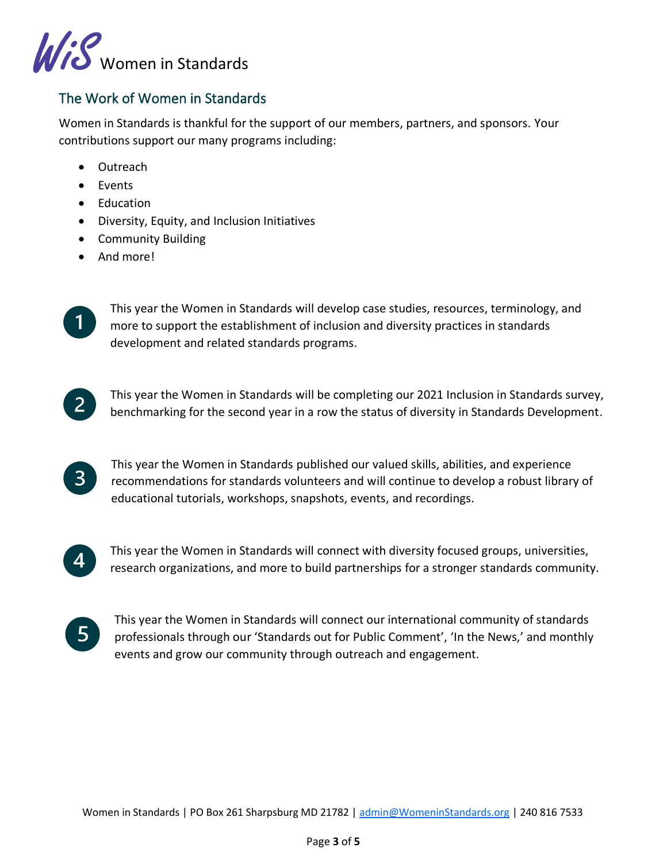

# The Work of Women in Standards

Women in Standards is thankful for the support of our members, partners, and sponsors. Your contributions support our many programs including:

- Outreach
- Events
- Education
- Diversity, Equity, and Inclusion Initiatives
- Community Building
- And more!



This year the Women in Standards will develop case studies, resources, terminology, and more to support the establishment of inclusion and diversity practices in standards development and related standards programs.



This year the Women in Standards published our valued skills, abilities, and experience  $\mathbf{3}$ recommendations for standards volunteers and will continue to develop a robust library of educational tutorials, workshops, snapshots, events, and recordings.



This year the Women in Standards will connect with diversity focused groups, universities, research organizations, and more to build partnerships for a stronger standards community.



This year the Women in Standards will connect our international community of standards professionals through our 'Standards out for Public Comment', 'In the News,' and monthly events and grow our community through outreach and engagement.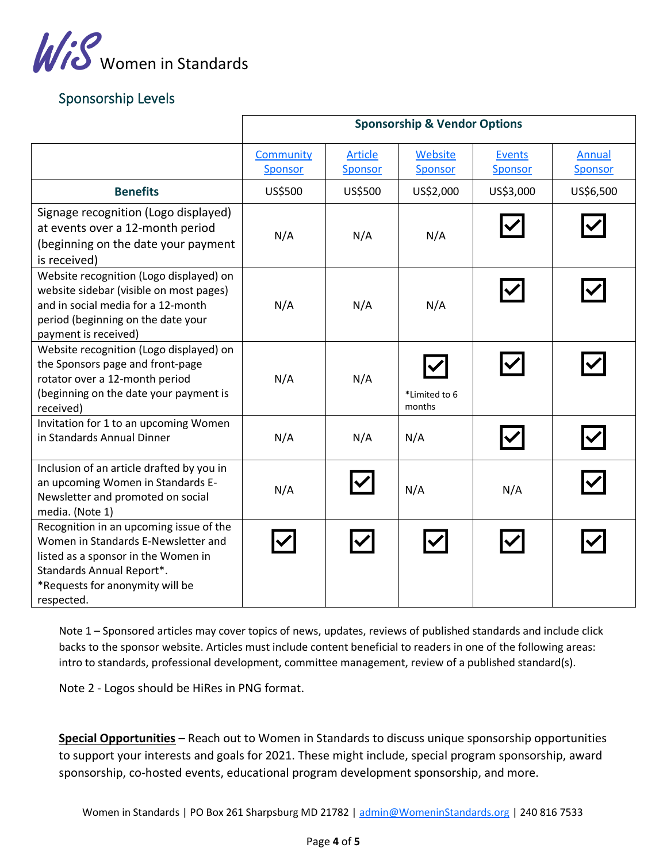

# Sponsorship Levels

|                                                                                                                                                                                                     | <b>Sponsorship &amp; Vendor Options</b> |                                  |                           |                                 |                   |
|-----------------------------------------------------------------------------------------------------------------------------------------------------------------------------------------------------|-----------------------------------------|----------------------------------|---------------------------|---------------------------------|-------------------|
|                                                                                                                                                                                                     | <b>Community</b><br><b>Sponsor</b>      | <b>Article</b><br><b>Sponsor</b> | Website<br><b>Sponsor</b> | <b>Events</b><br><b>Sponsor</b> | Annual<br>Sponsor |
| <b>Benefits</b>                                                                                                                                                                                     | US\$500                                 | US\$500                          | US\$2,000                 | US\$3,000                       | US\$6,500         |
| Signage recognition (Logo displayed)<br>at events over a 12-month period<br>(beginning on the date your payment<br>is received)                                                                     | N/A                                     | N/A                              | N/A                       |                                 |                   |
| Website recognition (Logo displayed) on<br>website sidebar (visible on most pages)<br>and in social media for a 12-month<br>period (beginning on the date your<br>payment is received)              | N/A                                     | N/A                              | N/A                       |                                 |                   |
| Website recognition (Logo displayed) on<br>the Sponsors page and front-page<br>rotator over a 12-month period<br>(beginning on the date your payment is<br>received)                                | N/A                                     | N/A                              | *Limited to 6<br>months   |                                 |                   |
| Invitation for 1 to an upcoming Women<br>in Standards Annual Dinner                                                                                                                                 | N/A                                     | N/A                              | N/A                       |                                 |                   |
| Inclusion of an article drafted by you in<br>an upcoming Women in Standards E-<br>Newsletter and promoted on social<br>media. (Note 1)                                                              | N/A                                     |                                  | N/A                       | N/A                             |                   |
| Recognition in an upcoming issue of the<br>Women in Standards E-Newsletter and<br>listed as a sponsor in the Women in<br>Standards Annual Report*.<br>*Requests for anonymity will be<br>respected. |                                         |                                  |                           |                                 |                   |

Note 1 – Sponsored articles may cover topics of news, updates, reviews of published standards and include click backs to the sponsor website. Articles must include content beneficial to readers in one of the following areas: intro to standards, professional development, committee management, review of a published standard(s).

Note 2 - Logos should be HiRes in PNG format.

**Special Opportunities** – Reach out to Women in Standards to discuss unique sponsorship opportunities to support your interests and goals for 2021. These might include, special program sponsorship, award sponsorship, co-hosted events, educational program development sponsorship, and more.

Women in Standards | PO Box 261 Sharpsburg MD 21782 | [admin@WomeninStandards.org](mailto:admin@WomeninStandards.org) | 240 816 7533